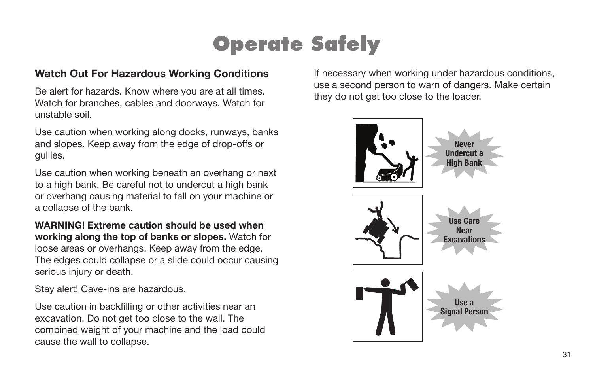## **Operate Safely**

#### Watch Out For Hazardous Working Conditions

Be alert for hazards. Know where you are at all times. Watch for branches, cables and doorways. Watch for unstable soil.

Use caution when working along docks, runways, banks and slopes. Keep away from the edge of drop-offs or gullies.

Use caution when working beneath an overhang or next to a high bank. Be careful not to undercut a high bank or overhang causing material to fall on your machine or a collapse of the bank.

WARNING! Extreme caution should be used when working along the top of banks or slopes. Watch for loose areas or overhangs. Keep away from the edge. The edges could collapse or a slide could occur causing serious injury or death.

Stay alert! Cave-ins are hazardous.

Use caution in backfilling or other activities near an excavation. Do not get too close to the wall. The combined weight of your machine and the load could cause the wall to collapse.

If necessary when working under hazardous conditions, use a second person to warn of dangers. Make certain they do not get too close to the loader.

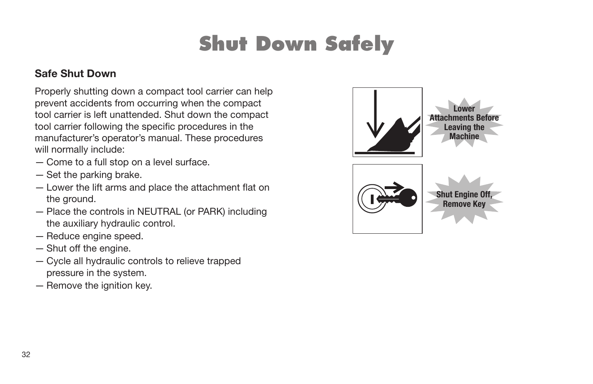## **Shut Down Safely**

#### Safe Shut Down

Properly shutting down a compact tool carrier can help prevent accidents from occurring when the compact tool carrier is left unattended. Shut down the compact tool carrier following the specific procedures in the manufacturer's operator's manual. These procedures will normally include:

- Come to a full stop on a level surface.
- Set the parking brake.
- Lower the lift arms and place the attachment flat on the ground.
- Place the controls in NEUTRAL (or PARK) including the auxiliary hydraulic control.
- Reduce engine speed.
- Shut off the engine.
- Cycle all hydraulic controls to relieve trapped pressure in the system.
- Remove the ignition key.

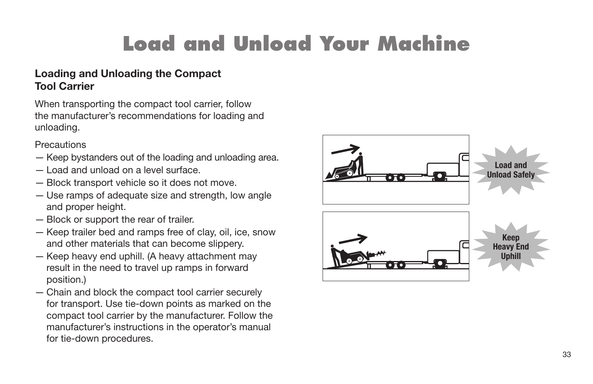# **Load and Unload Your Machine**

#### Loading and Unloading the Compact Tool Carrier

When transporting the compact tool carrier, follow the manufacturer's recommendations for loading and unloading.

**Precautions** 

- Keep bystanders out of the loading and unloading area.
- Load and unload on a level surface.
- Block transport vehicle so it does not move.
- Use ramps of adequate size and strength, low angle and proper height.
- Block or support the rear of trailer.
- Keep trailer bed and ramps free of clay, oil, ice, snow and other materials that can become slippery.
- Keep heavy end uphill. (A heavy attachment may result in the need to travel up ramps in forward position.)
- Chain and block the compact tool carrier securely for transport. Use tie-down points as marked on the compact tool carrier by the manufacturer. Follow the manufacturer's instructions in the operator's manual for tie-down procedures.